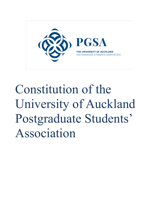

# Constitution of the University of Auckland Postgraduate Students' Association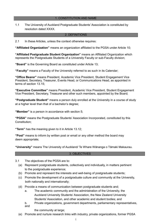#### 1. CONSTITUTION AND NAME

1.1 The University of Auckland Postgraduate Students' Association is constituted by resolution dated XXXX.

#### 2. DEFINITIONS

2.1 In these Articles, unless the context otherwise requires:

"Affiliated Organization" means an organization affiliated to the PGSA under Article 10;

**³Affiliated Postgraduate Student Organization´** means an Affiliated Organization which represents the Postgraduate Students of a University Faculty or sub-Faculty division;

**³Board´** is the Governing Board as constituted under Article 13;

**³Faculty´** means a Faculty of the University referred to as such in its Calendar;

**³Office Bearer´** means President, Academic Vice President, Student Engagement Vice President, Secretary, Treasurer, Events Head, or Communications Head, as appointed in terms of section 13.15;

**³Executive Committee´** means President, Academic Vice President, Student Engagement Vice President, Secretary, Treasurer and other such members, appointed by the Board;

**³Postgraduate Student´** means a person duly enrolled at the University in a course of study at a higher level than that of a bachelor's degree;

**"Member"** is a person in accordance with section 5;

**"PGSA"** means the Postgraduate Students' Association Incorporated, constituted by this Constitution;

**³Term´** has the meaning given to it in Article 13.12;

**"Post"** means to inform by written post or email or any other method the board may deem appropriate;

**³University´** means The University of Auckland/ Te Whare WƗnanga o TƗmaki Makaurau.

#### 3. OBJECTIVES

- 3.1 The objectives of the PGSA are to:
	- (a) Represent postgraduate students, collectively and individually, in matters pertinent to the postgraduate experience;
	- (b) Promote and represent the interests and well-being of postgraduate students;
	- (c) Promote the development of a postgraduate culture and community at the University, both nationally and internationally;
	- (d) Provide a means of communication between postgraduate students and;
		- a. The academic community and the administration of the University, the Auckland University Students' Association, the New Zealand University Students' Association, and other academic and student bodies; and
		- b. Private organizations, government departments, parliamentary representatives, and

the community at large;

(e) Promote and nurture research links with industry, private organizations, former PGSA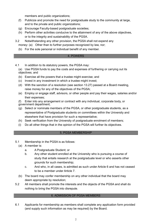members and public organizations;

- (f) Publicize and promote the need for postgraduate study to the community at large, and to the private and public organizations;
- (g) Encourage Faculty-based postgraduate societies;
- (h) Perform other activities conducive to the attainment of any of the above objectives, or to the integrity and sustainability of the PGSA.
- 3.2 Notwithstanding any other provision, the PGSA shall not expend any money: (a) Other than to further purposes recognized by law, nor;
	- (b) For the sole personal or individual benefit of any member.

#### 4. POWERS

4.1 In addition to its statutory powers, the PGSA may:

(a) Use PGSA funds to pay the costs and expenses of furthering or carrying out its objectives; and

- (b) Exercise all the powers that a trustee might exercise; and
- (c) Invest in any investment in which a trustee might invest;
- (d) With the sanction of a resolution (see section 13.27) passed at a Board meeting, raise money for any of the objectives of the PGSA;
- (e) Employ or engage staff, advisors, or other people and pay their wages, salaries and/or their expenses;

(f) Enter into any arrangement or contract with any individual, corporate body, or government department;

- (g) Select or nominate members of the PGSA, or other postgraduate students, as a representative of Postgraduate students on committees within the University and elsewhere that have provision for such a representative;
- (h) Seek verification from the University of postgraduate enrolment of members;
- (i) Do all other things that in the opinion of the PGSA will further its objectives.

## 5. PGSA MEMBERSHIP

- 5.1 Membership in the PGSA is as follows:
	- (a) A member is:
		- a. A Postgraduate Student; or
		- b. Any other student enrolled at the University who is pursuing a course of study that entails research at the postgraduate level or who asserts other grounds for such membership;
		- c. And who, in all cases, is admitted as such under Article 6 and has not ceased to be a member under Article 7.
	- (b) The board may confer membership on any other individual that the board may deem appropriate by resolution;
- 5.2 All members shall promote the interests and the objects of the PGSA and shall do nothing to bring the PGSA into disrepute.

## 6. ADMISSION OF PGSA MEMBERS

6.1 Applicants for membership as members shall complete any application form provided (and supply such information as may be required) by the Board.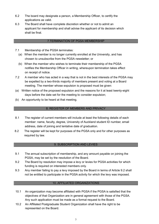- 6.2 The board may designate a person, a Membership Officer, to certify the applications as valid.
- 6.3 The Board shall have complete discretion whether or not to admit an applicant for membership and shall advise the applicant of its decision which shall be final.

#### 7.TERMINATION OF PGSA MEMBERSHIP

- 7.1 Membership of the PGSA terminates:
	- (a) When the member is no longer currently enrolled at the University, and has chosen to unsubscribe from the PGSA newsletter; or
	- (b) When the member who wishes to terminate their membership of the PGSA notifies the Membership Officer in writing, whereupon termination takes effect on receipt of notice.
- 7.2 A member who has acted in a way that is not in the best interests of the PGSA may be expelled by a two-thirds majority of members present and voting at a Board meeting. The member whose expulsion is proposed must be given:
- (a) Written notice of the proposed expulsion and the reasons for it at least twenty-eight days before the date set for the meeting to consider expulsion;
- (b) An opportunity to be heard at that meeting.

#### 8. REGISTER OF MEMBERS AND PRIVACY

- 8.1 The register of current members will include at least the following details of each member: name, faculty, degree, University of Auckland student ID number, email address, date of joining and tentative date of graduation.
- 8.2 The register will be kept for purposes of the PGSA only and for other purposes as required by law.

#### 9. SUBSCRIPTION AND LEVIES

- 9.1 The annual subscription of membership, and any amount payable on joining the PGSA, may be set by the resolution of the Board.
- 9.2 The Board by resolution may impose a levy or levies for PGSA activities for which funding is required on interested members only.
- 9.3 Any member failing to pay a levy imposed by the Board in terms of Article 9.2 shall not be entitled to participate in the PGSA activity for which the levy was imposed.

#### 10. AFFILIATED ORGANIZATIONS

- 10.1 An organization may become affiliated with PGSA if the PGSA is satisfied that the objectives of that Organization are in general agreement with those of the PGSA. Any such application must be made as a formal request to the Board.
- 10.2 An Affiliated Postgraduate Student Organization shall have the right to be represented on the Board.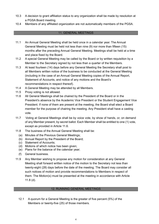- 10.3 A decision to grant affiliation status to any organization shall be made by resolution at a PGSA Board meeting.
- 10.4 Members of any affiliated organization are not automatically members of the PGSA.

#### 11. GENERAL MEETINGS

- 11.1 An Annual General Meeting shall be held once in a calendar year. The Annual General Meeting must be held not less than nine (9) nor more than fifteen (15) months after the preceding Annual General Meeting. Meetings shall be held at a time and place fixed by the Board.
- 11.2 A special General Meeting may be called by the Board or by written requisition by a Member to the Secretary signed by not less than a quarter of the Members.
- 11.3 At least fourteen (14) days before any General Meeting the Secretary shall post to all Members written notice of the business to be conducted at the General Meeting (including in the case of an Annual General Meeting copies of the Annual Report, Statement of Accounts, and notice of any motions and the Board's recommendations in respect thereof).
- 11.4 A General Meeting may be attended by all Members.
- 11.5 Proxy voting is not allowed.
- 11.6 All General Meetings shall be chaired by the President of the Board or in the President's absence by the Academic Vice President or the Student Engagement Vice President. If none of them are present at the meeting, the Board shall elect a Board member for the purpose of chairing the meeting. Any President shall have a casting vote.
- 11.7 Voting at General Meetings shall be by voice vote, by show of hands, or, on demand of any Member present, by secret ballot. Each Member shall be entitled to one (1) vote, except as provided in Article 11.6.
- 11.8 The business of the Annual General Meeting shall be:
	- (a) Minutes of the Previous General Meetings;
	- (b) Annual Report by the President of the Board;
	- (c) Statement of Accounts;
	- (d) Motions of which notice has been given;
	- (e) Plans for the balance of the calendar year;
	- (f) General business.
- 11.9 Any Member wishing to propose any motion for consideration at any General Meeting shall forward written notice of the motion to the Secretary not less than twenty-eight (28) days before the date of the meeting. The Board may consider all such notices of motion and provide recommendations to Members in respect of them. The Motion(s) must be presented at the meeting in accordance with Article 11.8 (d).

#### 12. RUNNING GENERAL MEETINGS

12.1 A quorum for a General Meeting is the greater of five percent (5%) of the Members or twenty-five (25) of those members.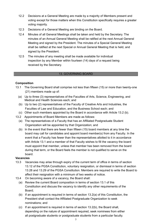- 12.2 Decisions at a General Meeting are made by a majority of Members present and voting except for those matters when this Constitution specifically requires a greater voting majority.
- 12.3 Decisions of a General Meeting are binding on the Board.
- 12.4 Minutes of all General Meetings shall be taken and held by the Secretary. The minutes of an Annual General Meeting shall be ratified at the next Annual General Meeting and signed by the President. The minutes of a Special General Meeting shall be ratified at the next Special or Annual General Meeting that is held, and signed by the President.
- 12.5 The minutes of any meeting shall be made available for individual inspection by any Member within fourteen (14) days of a request being received by the Secretary.

## 13. GOVERNING BOARD

## **Composition**

- 13.1 The Governing Board shall comprise not less than fifteen (15) or more than twenty-one (21) members made up of:
	- (a) Up to three (3) representatives of the Faculties of Arts, Science, Engineering, and Medical and Health Sciences each; and
	- (b) Up to two (2) representatives of the Faculty of Creative Arts and Industries, the Faculties of Law and Education, and the Business School each; and
	- (c) Other such members appointed by the Board in accordance with Article 13.2 (b).
- 13.2 Appointments of Board Members are made as follows:
	- (a) The representatives of a Faculty that has an Affiliated Postgraduate Student Organization will be appointed by that Organization; and
	- (b) In the event that there are fewer than fifteen (15) board members at any time the board may call for candidates and appoint board member(s) from any Faculty. In the event that a Faculty has fewer than the representatives allotted to it in accordance with Article 13.1 and a member of that Faculty wishes to fill the vacancy the board must appoint that member, unless that member has been removed from the board during that term, or the Board feels the member is not qualified to serve on the board.

## **Vacancies**

- 13.3 Vacancies may arise through expiry of the current term of office in terms of section 13.12 of the PGSA Constitution, voluntary resignation, or dismissal in terms of section 13.28 and 13.29 of the PGSA Constitution. Members are required to write the Board to affect their resignation with a minimum of two weeks of notice.
- 13.4 On becoming aware of a vacancy, the Board shall:
	- (a) Review the current Board composition in terms of section 13.1 of this Constitution and discuss the vacancy to identify any other requirements of the Board;
	- (b) If an appointment is required in terms of section 13.2(a) of this Constitution, the President shall contact the Affiliated Postgraduate Organization to seek nominations; and
	- (c) If an appointment is required in terms of section 13.2(b), the Board shall, depending on the nature of appointment required, seek nominees from either all postgraduate students or postgraduate students from a particular faculty.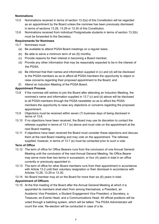## **Nominations**

- 13.5 Nominations received in terms of section 13.2(a) of this Constitution will be regarded as an appointment by the Board unless the nominee has been previously dismissed in terms of sections 13.28, 13.29 or 13.30 of this Constitution.
- 13.6 Nominations received from individual Postgraduate students in terms of section 13.2(b) must be forwarded to the Secretary.

# **Requirements for Nominees**

- 13.7 Nominees must:
	- (a) Be available to attend PGSA Board meetings on a regular basis;
	- (b) Be able to serve a minimum term of six (6) months;
	- (c) Provide reasons for their interest in becoming a Board member;
	- (d) Provide any other information that may be reasonably expected to be in the interest of the PGSA;
	- (e) Be informed that their names and information supplied in (c) and (d) will be disclosed to the PGSA members so as to afford all PGSA members the opportunity to object or raise concerns regarding their proposed appointment to the Board; and
	- (f) Attend an Induction Meeting of the PGSA Board.

## **Appointment Process**

- 13.8 If the nominee still wishes to join the Board after attending an Induction Meeting, the nominee's name and information supplied in 13.7 (c) and (d) above will be disclosed to all PGSA members through the PGSA newsletter so as to afford the PGSA members the opportunity to raise any objections or concerns regarding the proposed appointment.
- 13.9 Objections must be received within seven (7) business days of being disclosed in terms of 13.8.
- 13.10 If no objections have been received, the Board may use its discretion to contact the referees supplied in terms of 13.7 (e) above and must vote on the appointment at the next Board meeting.
- 13.11 If objections have been received the Board must consider these objections and discuss them at the next Board meeting and may vote on the appointment. The referees supplied, however, in terms of 13.7 (e) must be contacted prior to such a vote.

## **Term of Office**

- 13.12 The term of office for Office Bearers runs from the conclusion of one Annual General Meeting until the conclusion of the next Annual General Meeting. No Office Bearer may serve more than two terms in succession, or four (4) years in total in an office currently or previously appointed in.
- 13.13 The term of office for other Board members runs from their appointment in accordance with Article 13.2 until their voluntary resignation or their dismissal in accordance with Articles 13.28, 13.29 or 13.30.
- 13.14 No Board member may sit on the Board for more than six (6) years in total.

# **Appointment of Officers**

13.15 At the first meeting of the Board after the Annual General Meeting at which it is appointed its members shall elect from among themselves; a President, an Academic Vice President, a Student Engagement Vice President, a Secretary, a Treasurer, an Events Head, and a Communications Head. All official positions will be voted through a balloting system, which will be tallied. The PGSA Administrator will count the vote. Re-election will be conducted in case of a tie.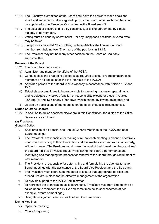- 13.16 The Executive Committee of the Board shall have the power to make decisions about and implement matters agreed upon by the Board; other such members can be appointed to the Executive Committee as the Board sees fit.
- 13.17 The election of officers shall be by consensus, or failing agreement, by simple majority of all members.
- 13.18 Voting must be done by secret ballot. For any unopposed positions, a verbal vote may be taken.
- 13.19 Except for as provided 13.20 nothing in these Articles shall prevent a Board member from holding two (2) or more of the positions in 13.15.
- 13.20 The President may not hold any other position on the Board or Chair any subcommittee.

# **Powers of the Board**

- 13.21 The Board has the power to:
	- (a) Administer and manage the affairs of the PGSA;
	- (b) Conduct elections or appoint delegates as required to ensure representation of its members on all bodies affecting the interests of the PGSA;
	- (c) Appoint a person to the Board to fill a vacancy in accordance with Articles 13.2 and 13.5;
	- (d) Establish subcommittees to be responsible for on-going matters or special tasks, and to delegate any power, function or responsibility except for those in Articles 13.4 (b), (c) and 13.5 or any other power which cannot by law be delegated; and
	- (e) Decide on applications of membership on the basis of special circumstances.

# **Duties of Office Bearers**

13.22 In addition to duties specified elsewhere in this Constitution, the duties of the Office Bearers are as follows:

# (a) *President:*

# General Duties

- i. Shall preside at all Special and Annual General Meetings of the PGSA and at all Board meetings.
- ii. The President is responsible for making sure that each meeting is planned effectively, conducted according to this Constitution and that matters are dealt with in an orderly, efficient manner. The President must make the most of their board members and lead the Board. This also involves regularly reviewing the Board's performance and identifying and managing the process for renewal of the Board through recruitment of new members.
- iii. The President is responsible for determining and formulating the agenda items for Board meetings with the assistance of the Board Vice President and the Secretary.
- iv. The President must coordinate the board to ensure that appropriate policies and procedures are in place for the effective management of the organization.
- v. To provide support to the PGSA Administrator.
- vi. To represent the organization as its figurehead. (President may from time to time be called upon to represent the PGSA and sometimes be its spokesperson at, for example, events or meetings.)
- vii. Delegate assignments and duties to other Board members.

# During Meetings

- viii. Open the meeting;
- ix. Check for quorum;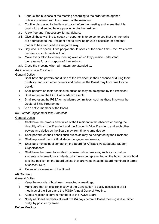- x. Conduct the business of the meeting according to the order of the agenda unless it is altered with the consent of the members;
- xi. Confine discussion to the item actually before the meeting and to see that it is dealt with and settled before passing on to the next item;
- xii. Allow free and, if necessary, formal debate;
- xiii. Give all those wishing to speak an opportunity to do so, to see that their remarks are addressed to the President and to allow no private discussion or personal matter to be introduced in a negative way;
- xiv. Say who is to speak, if two people should speak at the same time  $-$  the President's decision on such points is final;
- xv. Make every effort to let any meeting over which they preside understand the reasons for and purpose of their rulings;
- xvi. Close the meeting when all matters are attended to.

# (b) *Academic Vice President*

## General Duties

- i. Shall have the powers and duties of the President in their absence or during their disability, and such other powers and duties as the Board may from time to time decide;
- ii. Shall perform on their behalf such duties as may be delegated by the President;
- iii. Shall represent the PGSA at academic events;
- iv. Shall represent the PGSA on academic committees, such as those involving the Doctoral Skills Programme;
- v. Be an active member of the Board.

# (c) *Student Engagement Vice President*

# General Duties

- i. Shall have the powers and duties of the President in the absence or during the disability of both the President and the Academic Vice President, and such other powers and duties as the Board may from time to time decide;
- ii. Shall perform on their behalf such duties as may be delegated by the President;
- iii. Shall represent the PGSA at student engagement events;
- iv. Shall be a key point of contact on the Board for Affiliated Postgraduate Student Organizations;
- v. Shall have the power to establish representation positions, such as for mature students or international students, which may be represented on the board but not hold a voting position on the Board unless they are voted in as full Board members in terms of section 13.8;
- vi. Be an active member of the Board.

## (d) *Secretary*

# General Duties

- i. Keep the records of business transacted at meetings;
- ii. Make sure that an electronic copy of the Constitution is easily accessible at all meetings of the Board and the PGSA Annual General Meeting;
- iii. Keep a register of current members of the PGSA Board;
- iv. Notify all Board members at least five (5) days before a Board meeting is due, either orally, by post, or by email.

## Before Meetings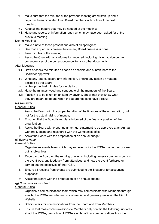- vi. Make sure that the minutes of the previous meeting are written up and a copy has been circulated to all Board members with notice of the next meeting;
- vii. Keep all the papers that may be needed at the meeting;
- viii. Have any reports or information ready which may have been asked for at the previous meeting.

## During Meetings

- ix. Make a note of those present and also of all apologies;
- x. See that a quorum is present before any Board business is done;
- xi. Take minutes of the meeting;
- xii. Assist the Chair with any information required, including giving advice on the consequences of the correspondence items or other documents.

## After Meetings

- xiii. Draft or check the minutes as soon as possible and submit them to the Board for approval;
- xiv. Write any letters, secure any information, or take any action on matters decided by the Board;
- xv. Write-up the final minutes for circulation;
- xvi. Have the minutes typed and sent out to all the members of the Board;
- xvii. If action is to be taken on an item by anyone, check that they know what they are meant to do and when the Board needs to have a result.

## (e) *Treasurer*

## General Duties

- i. Assist the Board with the proper handling of the finances of the organization, but not for the actual raising of money;
- ii. Ensuring that the Board is regularly informed of the financial position of the organization;
- iii. Assist the Board with preparing an annual statement to be approved at an Annual General Meeting and registered with the Companies office;
- iv. Assist the Board with the preparation of an annual budget.

# (f) *Events Head*

# General Duties

- i. Organize an events team which may run events for the PGSA that further or carry out its objectives;
- ii. Report to the Board on the running of events, including general comments on how the event was, any feedback from attendees, and how the event furthered or carried out the objectives of the PGSA;
- iii. Ensure all receipts from events are submitted to the Treasurer for accounting purposes;
- iv. Assist the Board with the preparation of an annual budget.

# (g) *Communications Head*

# General Duties

- i. Organize a communications team which may communicate with Members through emails, the PGSA website, and social media, and generally maintain the PGSA Website;
- ii. Solicit details for communications from the Board and from Members;
- iii. Ensure that mass communications to Members only contain the following: updates about the PGSA, promotion of PGSA events, official communications from the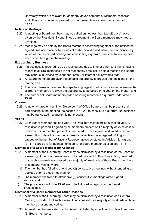University which are relevant to Members, advertisements of Members' research, and other such content as passed by Board resolution as described in section 13.27.

## **Notice of Meetings**

- 13.23 A meeting of Board members may be called on not less than two (2) days' notice given by the President. By unanimous agreement the Board members may meet at any time.
- 13.24 Meetings may be held by the Board members assembling together at the notified or agreed time and place or by means of audio, or audio and visual, communication by which all members participating and constituting a quorum, can simultaneously hear each other throughout the meeting.

## **Extraordinary Business**

- 13.25 If a business is required to be transacted and due to time or other constraints having regard to all circumstances it is not reasonably practical to hold a meeting the Board may conduct business by telephone, email, or internet poll providing that:
	- (a) All Board members are given reasonable opportunity to provide their opinions on the matter; and
	- (b) The Board takes all reasonable steps having regard to all circumstances to ensure that all Board members are given the opportunity to be polled or to vote on the matter; and
	- (c) The number of Board members polled or voting represents a quorum under article 13.26.

#### **Quorum**

13.26 A majority (greater than fifty (50) percent) of Office Bearers must be present and participating in the meeting (as defined in 13.23) to constitute a quorum. No business may be transacted if a quorum is not present.

## **Voting**

13.27 Each Board member has one vote. The President may exercise a casting vote. A resolution is passed if agreed by all members present or if a majority of votes cast is in favour of it. A member present is presumed to have agreed and voted in favour of a resolution unless the member expressly dissents or votes against. Voting is capped to the number of Faculty Representatives as stated in Articles 13.1 (a) and (b). (This article is for agenda items only, for board member election see 13.15)

## **Dismissal of a Board Member for Absence**

- 13.28 A member of the Governing Board may be dismissed by a resolution of the Board at a meeting of the Board members conducted pursuant to this Constitution, provided that such a resolution is passed by a majority of two-thirds of those Board members present and voting, where:
	- (a) The member has failed to attend two (2) consecutive meetings without tendering an apology prior to those meetings; or
	- (b) The member has failed to attend five (5) consecutive meetings without good excuse; and
	- (c) The procedures in Article 13.20 are to be followed in regards to the format of proceedings.

## **Dismissal of a Board member for Other Reasons**

- 13.29 A member of the Governing Board may be dismissed by a resolution of a General Meeting, provided that such a resolution is passed by a majority of two-thirds of those members present and voting.
- 13.30 A board member may also be dismissed if initiated by a petition of no less than three (3) Board members: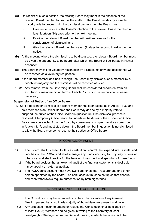- (a) On receipt of such a petition, the existing Board may meet in the absence of the relevant Board member to discuss the matter. If the Board decides by a simple majority vote to proceed with the dismissal process then the Board must:
	- i. Give written notice of the Board's intention to the relevant Board member, at least fourteen (14) days prior to the next meeting;
	- ii. Provide the relevant Board member with written reasons for the consideration of dismissal; and
	- iii. Give the relevant Board member seven (7) days to respond in writing to the notice.
- (b) At the meeting where the dismissal is to be discussed, the relevant Board member must be given the opportunity to be heard, after which, the Board will deliberate in his/her absence;
- (c) The Board may call for voluntary resignation by a simple majority and acceptance will be recorded as a voluntary resignation;
- (d) If the Board member declines to resign, the Board may dismiss such a member by a two-thirds majority and the dismissal will be recorded as such.
- 13.31 Any removal from the Governing Board shall be considered separately from an expulsion of membership (in terms of article 7.2), if such an expulsion is deemed necessary.

# **Suspension of Duties of an Office Bearer**

13.32 If a petition for dismissal of a Board member has been raised as in Article 13.30 and said member is an Officer Bearer, the Board may decide by a majority vote to suspend the duties of the Office Bearer in question until the dismissal process is resolved. A temporary Office Bearer to undertake the duties of the suspended Office Bearer may be elected from the Board by consensus or simple majority as described in Article 13.17, and must step down if the Board member in question is not dismissed to allow the Board member to resume their duties as Office Bearer.

## 14. CONTROL OF FUNDS

- 14.1 The Board shall, subject to this Constitution, control the expenditure, assets and liabilities of the PGSA, and shall manage any funds accruing to it by way of fees or otherwise, and shall provide for the banking, investment and spending of those funds.
- 14.2 If the board decides that an external audit of the financial statements is desirable it may appoint an external auditor.
- 14.3 The PGSA bank account must have two signatories: the Treasurer and one other person appointed by the board. The bank account must be set up so that cheque and cash withdrawals require authorisation by both signatories.

## 15. AMENDMENT OF THE CONSTITUTION

- 15.1 The Constitution may be amended or replaced by resolution of any General Meeting passed by a two thirds majority of those Members present and voting.
- 15.2 Any proposed motion to amend or replace the Constitution shall be signed by at least five (5) Members and be given in writing to the Secretary at least twenty-eight (28) days before the General meeting at which the motion is to be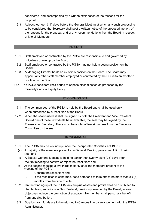considered, and accompanied by a written explanation of the reasons for the proposal.

15.3 At least fourteen (14) days before the General Meeting at which any such proposal is to be considered the Secretary shall post a written notice of the proposed motion, of the reasons for the proposal, and of any recommendations from the Board in respect of it to all Members.

#### 16. STAFF

- 16.1 Staff employed or contracted by the PGSA are responsible to and governed by guidelines drawn up by the Board.
- 16.2 Staff employed or contracted by the PGSA may not hold a voting position on the Board.
- 16.3 A Managing Director holds an ex officio position on the Board. The Board may appoint any other staff member employed or contracted by the PGSA to an ex officio position on the Board.
- 16.4 The PGSA considers itself bound to oppose discrimination as proposed by the University's official Equity Policy.

## 17. COMMON SEAL

- 17.1 The common seal of the PGSA is held by the Board and shall be used only when authorized by a resolution of the Board.
- 17.2 When the seal is used, it shall be signed by both the President and Vice President. Should one of these individuals be unavailable, the seal may be signed by the Treasurer or Secretary. There must be a total of two signatures from the Executive Committee on the seal.

#### 18. WINDING UP

- 18.1 The PGSA may be wound up under the Incorporated Societies Act 1908 if:
	- (a) A majority of the members present at a General Meeting pass a resolution to wind it up; and
	- (b) A Special General Meeting is held no earlier than twenty-eight (28) days after the first meeting to confirm or reject the resolution; and
	- (c) At the second meeting a two thirds majority of all the members present at the meeting of the PGSA:
		- i. Confirm the resolution; and
		- $ii.$  If the resolution is confirmed, set a date for it to take effect, no more than six  $(6)$ months from the time of vote.
- 18.2 On the winding-up of the PGSA, any surplus assets and profits shall be distributed to charitable organizations in New Zealand, previously selected by the Board, whose objectives include the promotion of education. No member shall personally benefit from any distribution.
- 18.3 Surplus grant funds are to be returned to Campus Life by arrangement with the PGSA Administrator.